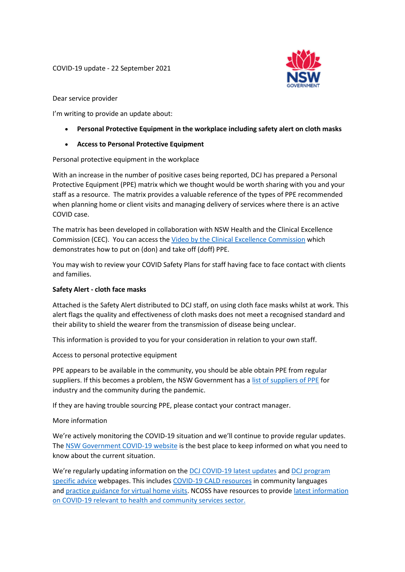

Dear service provider

I'm writing to provide an update about:

- **Personal Protective Equipment in the workplace including safety alert on cloth masks**
- **Access to Personal Protective Equipment**

Personal protective equipment in the workplace

With an increase in the number of positive cases being reported, DCJ has prepared a Personal Protective Equipment (PPE) matrix which we thought would be worth sharing with you and your staff as a resource. The matrix provides a valuable reference of the types of PPE recommended when planning home or client visits and managing delivery of services where there is an active COVID case.

The matrix has been developed in collaboration with NSW Health and the Clinical Excellence Commission (CEC). You can access the [Video by the Clinical Excellence Commission](https://urldefense.com/v3/__https:/www.youtube.com/watch?v=tfITL694UAQ__;!!MuTgN5zQqgRwsA!XUpAvhTuh4ozmHUTaNeNELHpgn1kuM82BkJzxK3NOILIXfDNnRlEYhq0B2ytORj_TbbE6n5vKvc$) which demonstrates how to put on (don) and take off (doff) PPE.

You may wish to review your COVID Safety Plans for staff having face to face contact with clients and families.

## **Safety Alert - cloth face masks**

Attached is the Safety Alert distributed to DCJ staff, on using cloth face masks whilst at work. This alert flags the quality and effectiveness of cloth masks does not meet a recognised standard and their ability to shield the wearer from the transmission of disease being unclear.

This information is provided to you for your consideration in relation to your own staff.

Access to personal protective equipment

PPE appears to be available in the community, you should be able obtain PPE from regular suppliers. If this becomes a problem, the NSW Government has a [list of suppliers of PPE](https://buy.nsw.gov.au/news/2020/ppe-supplies-portal-for-industry-and-the-community) for industry and the community during the pandemic.

If they are having trouble sourcing PPE, please contact your contract manager.

More information

We're actively monitoring the COVID-19 situation and we'll continue to provide regular updates. The NSW Government [COVID-19 website](https://www.nsw.gov.au/covid-19) is the best place to keep informed on what you need to know about the current situation.

We're regularly updating information on the [DCJ COVID-19 latest updates](https://www.coronavirus.dcj.nsw.gov.au/service-providers/latest-updates) and DCJ program [specific advice](https://www.coronavirus.dcj.nsw.gov.au/service-providers/additional-information-for-specific-dcj-programs) webpages. This includes [COVID-19 CALD resources](https://www.coronavirus.dcj.nsw.gov.au/service-providers/latest-updates) in community languages and [practice guidance for virtual home visits.](http://ngolearning.com.au/practice-guidance-for-virtual-home-visits/) NCOSS have resources to provide [latest information](https://www.ncoss.org.au/sector-hub/sector-resources/covid-19-community-sector-resource-buttons/)  [on COVID-19 relevant to health and community services sector.](https://www.ncoss.org.au/sector-hub/sector-resources/covid-19-community-sector-resource-buttons/)